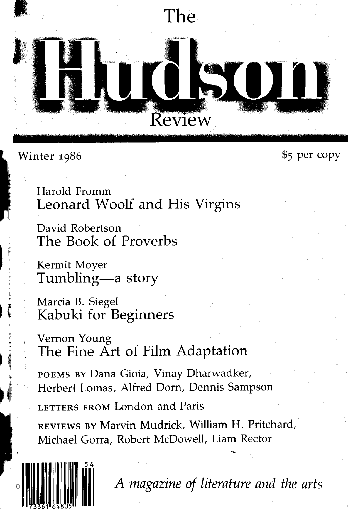

## Winter 1986

\$5 per copy

Harold Fromm Leonard Woolf and His Virgins

David Robertson The Book of Proverbs

Kermit Moyer Tumbling—a story

Marcia B. Siegel<br>Kabuki for Beginners

, Vernon Young The Fine Art of Film Adaptation

POEMS BY Dana Gioia, Vinay Dharwadker, Herbert Lomas, Alfred Dorn, Dennis Sampson

LETTERS FRoM London and Paris

REVIEWS BY Marvin Mudrick, William H. Pritchard, Michael Gorra, Robert McDowell, Liam Rector



A magazine of literature and the arts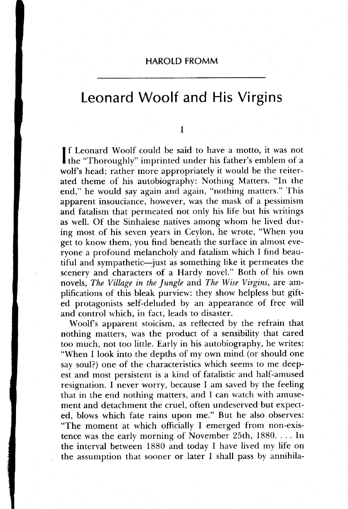## HAROLD FROMM

## Leonard Woolf and His Virgins

I

<sup>I</sup>f Leonard Woolf could be said to have a motto, it was not I the "Thoroughly" imprinted under his father's emblem of a wolfs head; rather more appropriately it would be the reiterated theme of his autobiography: Nothing Matters. "In the end," he would say again and again, "nothing matters." This apparent insouciance, however, was the mask of a pessimism and fatalism that permeated not only his life but his writings as well. Of the Sinhalese natives among whom he lived during most of his seven years in Ceylon, he wrote, "When you get to know them, you find beneath the surface in almost everyone a profound melancholy and fatalism which I find beautiful and sympathetic-just as something like it permeates the scenery and characters of a Hardy novel." Both of his own novels, The Village in the Jungle and The Wise Virgins, are amplifications of this bleak purview: they show helpless but gifted protagonists self-deluded by an appearance of free will and control which, in fact, leads to disaster.

Woolfs apparent stoicism, as reflected by the refrain that nothing matters, was the product of a sensibility that cared too much, not too little. Early in his autobiography, he writes: "When I look into the depths of my own mind (or should one say soul?) one of the characteristics which seems to me deepest and most persistent is a kind of fatalistic and half-amused resignation. I never worry, because I am saved by the feeling that in the end nothing matters, and I can watch with amusement and detachment the cruel, often undeserved but expected, blows which fate rains upon me." But he also observes: "The moment at which officially I emerged from non-existence was the early morning of November 25th, 1880. . . . In the interval between 1880 and today I have lived my life on the assumption that sooner or later I shall pass by annihila-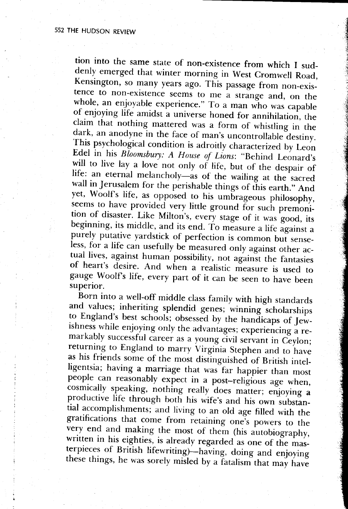tion into the same state of non-existence from which I sud-<br>denly emerged that winter morning in West Cromwell Road,<br>Kensington, so many years ago. This passage from non-exis-<br>tence to non-existence seems to me a strange a whole, an enjoyable experience." To a man who was capable<br>of enjoying life amidst a universe honed for annihilation, the<br>claim that nothing mattered was a form of whistling in the<br>dark, an anodyne in the face of man's unco Edel in his *Bloomsbury: A House of Lions*: "Behind Leonard's will to live lay a love not only of life, but of the despair of life: an eternal melancholy—as of the wailing at the sacred wall in Jerusalem for the perishable tion of disaster. Like Milton's, every stage of it was good, its beginning, its middle, and its end. To measure a life against a purely putative yardstick of perfection is common but senseless, for a life can usefully be measured only against other actual lives, against human possibility, not against the fantasies of heart's desire. And when a realistic measure is used to gauge Woolf's life, every part of it can be seen to have been<br>superior.<br>Born into a well-off middle class family with high standards

and values; inheriting splendid genes; winning scholarships to England's best schools; obsessed by the handicaps of Jewishness while enjoying only the advantages; experiencing a re-<br>markably successful career as a young civil servant in Ceylon;<br>returning to England to marry Virginia Stephen and to have<br>as his friends some of the most disti ligentsia; having a marriage that was far happier than most<br>people can reasonably expect in a post-religious age when,<br>cosmically speaking, nothing really does matter; enjoying a<br>productive life through both his wife's and tial accomplishments; and living to an old age filled with the gratifications that come from retaining one's powers to the very end and making the most of them (his autobiography, written in his eighties, is already regarded as one of the masterpieces of British lifewriting)—having, doing and enjoying these things, he was sorely misled by a fatalism that may have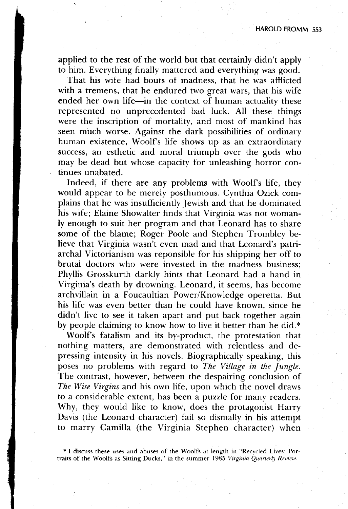applied to the rest of the world but that certainly didn't apply to him. Everything finally mattered and everything was good.

That his wife had bouts of madness, that he was afflicted with a tremens, that he endured two great wars, that his wife ended her own life-in the context of human actuality these represented no unprecedented bad luck. All these things were the inscription of mortality, and most of mankind has seen much worse. Against the dark possibilities of ordinary human existence, Woolfs life shows up as an extraordinary success, an esthetic and moral triumph over the gods who may be dead but whose capacity for unleashing horror continues unabated.

Indeed, if there are any problems with Woolf's life, they would appear to be merely posthumous. Cynthia Ozick complains that he was insufficiently Jewish and that he dominated his wife; Elaine Showalter finds that Virginia was not womanly enough to suit her program and that Leonard has to share some of the blame; Roger Poole and Stephen Trombley believe that Virginia wasn't even mad and that Leonard's patriarchal Victorianism was reponsible for his shipping her off to brutal doctors who were invested in the madness business; Phyllis Grosskurth darkly hints that Leonard had a hand in Virginia's death by drowning. Leonard, it seems, has become archvillain in a Foucaultian Power/Knowledge operetta. But his life was even better than he could have known, since he didn't live to see it taken apart and put back together again by people claiming to know how to live it better than he did.\*

Woolfs fatalism and its by-product, the protestation that nothing matters, are demonstrated with relentless and depressing intensity in his novels. Biographically speaking, this poses no problems with regard to The Village in the Jungle. The contrast, however, between the despairing conclusion of The Wise Virgins and his own life, upon which the novel draws to a considerable extent, has been a puzzle for many readers. Why, they would like to know, does the protagonist Harry Davis (the Leonard character) fail so dismally in his attempt to marry Camilla (the Virginia Stephen character) when

\* I discuss these uses and abuses of the Woolfs at length in "Recvcled Lives: Portraits of the Woolfs as Sitting Ducks," in the summer 1985 Virginia Quarterly Review.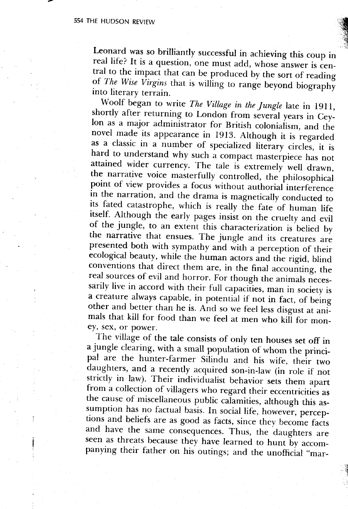## 554 THE HUDSON REVIEW

Leonard was so brilliantly successful in achieving this coup in real life? It is a question, one must add, whose answer is central to the impact that can be produced by the sort of reading of *The Wise Virgins* that is wi

 $\mathbf{d}$ s  $\mathbb{R}^2$ ;= = ,: : j

shortly after returning to London from several years in Ceylon as a major administrator for British colonialism, and the novel made its appearance in 1913. Although it is regarded as a classic in a number of specialized literary circles, it is hard to understand why such a compact masterpiece has not attained wider currency. The tale is extremely well drawn, the narrative voice masterfully controlled, the philosophical point of view provides a focus without authorial interference in the narration, and the drama is magnetically conducted to its fated catastrophe, which is really the fate of human life<br>itself. Although the early pages insist on the cruelty and evil<br>of the jungle, to an extent this characterization is belied by<br>the narrative that ensues. The ju other and better than he is. And so we feel less disgust at ani-<br>mals that kill for food than we feel at men who kill for money, sex, or power.

The village of the tale consists of only ten houses set off in a jungle clearing, with a small population of whom the princi-<br>pal are the hunter-farmer Silindu and his wife, their two daughters, and a recently acquired son-in-law (in role if not<br>strictly in law). Their individualist behavior sets them apart<br>from a collection of villagers who regard their eccentricities as<br>the cause of miscellaneous publ and have the same consequences. Thus, the daughte<br>seen as threats because they have learned to hunt by a panying their father on his outings; and the unofficial "mar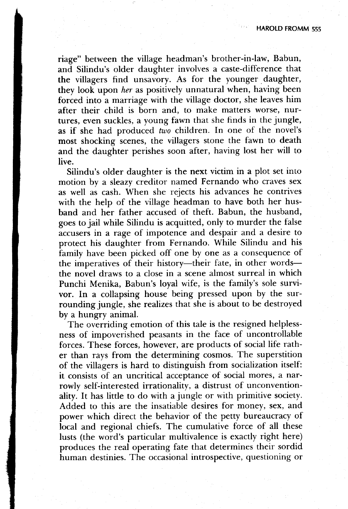riage" between the village headman's brother-in-law, Babun, and Silindu's older daughter involves a caste-difference that the villagers find unsavory. As for the younger daughter they look upon her as positively unnatural when, having been forced into a marriage with the village doctor, she leaves him after their child is born and, to make matters worse, nurtures, even suckles, a young fawn that she finds in the jungle, as if she had produced two children. In one of the novel's most shocking scenes, the villagers stone the fawn to death and the daughter perishes soon after, having lost her will to live.

Silindu's older daughter is the next victim in a plot set into motion by a sleazy creditor named Fernando who craves sex as well as cash. When she rejects his advances he contrives with the help of the village headman to have both her husband and her father accused of theft. Babun, the husband, goes to jail while Silindu is acquitted, only to murder the false accusers in a rage of impotence and despair and a desire to protect his daughter from Fernando. While Silindu and his family have been picked off one by one as a consequence of the imperatives of their history-their fate, in other wordsthe novel draws to a close in a scene almost surreal in which Punchi Menika, Babun's loyal wife, is the family's sole survivor. In a collapsing house being pressed upon by the surrounding jungle, she realizes that she is about to be destroyed by a hungry animal.

The overriding emotion of this tale is the resigned helplessness of impoverished peasants in the face of uncontrollable forces. These forces, however, are products of social life rather than rays from the determining cosmos. The superstition of the villagers is hard to distinguish from socialization itself: it consists of an uncritical acceptance of social mores, a narrowly self-interested irrationality, a distrust of unconventionality. It has little to do with a jungle or with primitive society. Added to this are the insatiable desires for money, sex, and power which direct the behavior of the petty bureaucracy of local and regional chiefs. The cumulative force of all these lusts (the word's particular multivalence is exactly right here) produces the real operating fate that determines their sordid human destinies. The occasional introspective, questioning or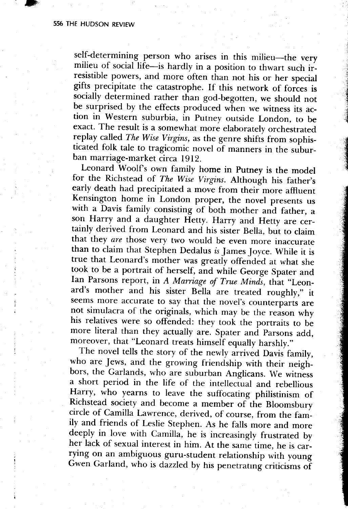.F

self-determining person who arises in this milieu-the very milieu of social life-is hardly in a position to thwart such irresistible powers, and more often than not his or her special gifts precipitate rhe catasrophe. If this network of forces is socially determined rather than god-begotten, we should not be surprised by the effects produced when we witness its action in Western suburbia, in putney outside London, to be exact. The result is a somewhat more elaborately orchestrated replay called The Wise Virgins, as the genre shifts from sophisticated folk tale to tragicomic novel of manners in the suburban marriage-market circa 1912.

€

Leonard woolfs own family home in putney is the model for the Richstead of The Wise Virgins. Although his father's early death had precipitated a move from their more affluent Kensington home in London proper, the novel presents us with a Davis family consisting of both mother and father, a son Harry and a daughter Hetty. Harry and Hetty are certainly derived from Leonard and his sister Bella, bur to claim that they are those very two would be even more inaccurate than to claim that Stephen Dedalus  $i$ s James Joyce. While it is true that Leonard's mother was greatly offended at what she took to be a portrait of herself, and while George Spater and Ian Parsons report, in A Marriage of True Minds, that "Leonard's mother and his sister Bella are treated roughly," it seems more accurate to say that the novel's counterparts are not simulacra of the originals, which may be the reason why his relatives were so offended: they took the portraits to be more literal than they actually are. Spater and Parsons add, moreover, that "Leonard treats himself equally harshly."

The novel tells the story of the newly arrived Davis family, who are Jews, and the growing friendship with their neighbors, the Garlands, who are suburban Anglicans. We witness a short period in the life of the intellectual and rebellious Harry, who yearns to leave the suffocating philistinism of Richstead society and become a member of the Bloomsbury circle of Camilla Lawrence, derived, of course, from the fam\_ ily and friends of Leslie stephen. As he falls more and more deeply in love with camilla, he is increasingly frustrated by her lack of sexual interest in him. At the same time, he is carrying on an ambiguous guru-student relationship with young Gwen Garland, who is dazzled by his penetrating criticisms of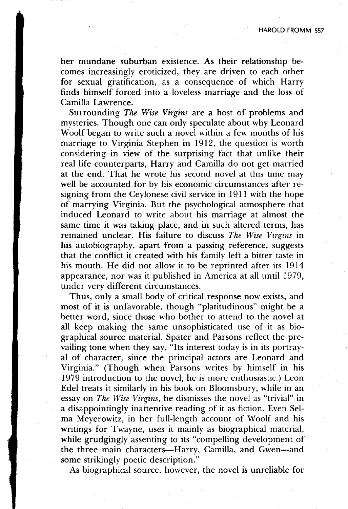her mundane suburban existence. As their relationship becomes increasingly eroticized, they are driven to each other for sexual gratification, as a consequence of which Harry finds himself forced into a loveless marriage and the loss of Camilla Lawrence.

Surrounding The Wise Virgins are a host of problems and mysteries. Though one can only speculate about why Leonard Woolf began to write such a novel within a few months of his marriage to Virginia Stephen in 1912, the question is worth considering in view of the surprising fact that unlike their real life counterparts, Harry and Camilla do not get married at the end. That he wrote his second novel at this time may well be accounted for by his economic circumstances after resigning from the Ceylonese civil service in 1911 with the hope of marrying Virginia. But the psychological atmosphere that induced Leonard to write about his marriage at almost the same time it was taking place, and in such altered terms, has remained unclear. His failure to discuss The Wise Virgins in his autobiography, apart from a passing reference, suggests that the conflict it created with his family left a bitter taste in his mouth. He did not allow it to be reprinted after its l9l4 appearance, nor was it published in America at all until 1979, under very different circumstances.

Thus, only a small body of critical response now exists, and most of it is unfavorable, though "platitudinous" might be a better word, since those who bother to attend to the novel at all keep making the same unsophisticated use of it as biographical source material. Spater and Parsons reflect the prevailing tone when they say, "Its interest today is in its portrayal of character, since the principal actors are Leonard and Virginia." (Though when Parsons writes by himself in his 1979 introduction to the novel, he is more enthusiastic.) Leon Edel treats it similarly in his book on Bloomsbury, while in an essay on The Wise Virgins, he dismisses the novel as "trivial" in a disappointingly inattentive reading of it as fiction. Even Selma Meyerowitz, in her full-length account of Woolf and his writings for Twayne, uses it mainly as biographical material, while grudgingly assenting to its "compelling development of the three main characters-Harry, Camilla, and Gwen-and some strikingly poetic description."

As biographical source, however, the novel is unreliable for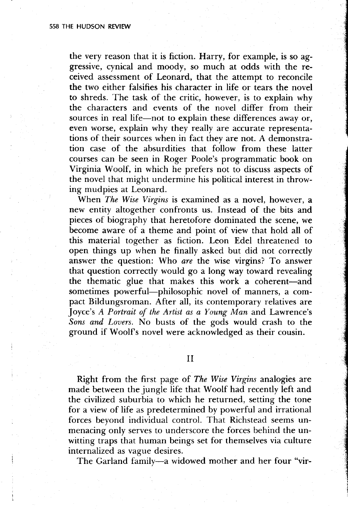the very reason that it is fiction. Harry, for example, is so aggressive, cynical and moody, so much at odds with the received assessment of Leonard, that the attempt to reconcile the two either falsifies his character in life or tears the novel to shreds. The task of the critic, however, is to explain why the characters and events of the novel differ from their sources in real life-not to explain these differences away or, even worse, explain why they really are accurate representations of their sources when in fact they are not. A demonstration case of the absurdities that follow from these latter courses can be seen in Roger Poole's programmatic book on Virginia Woolf, in which he prefers not to discuss aspects of the novel that might undermine his political interest in throwing mudpies at Leonard.

When The Wise Virgins is examined as a novel, however, a new entity altogether confronts us. Instead of the bits and pieces of biography that heretofore dominated the scene, we become aware of a theme and point of view that hold all of this material together as fiction. Leon Edel threatened to open things up when he finally asked but did not correctly answer the question: Who are the wise virgins? To answer that question correctly would go a long way toward revealing the thematic glue that makes this work a coherent-and sometimes powerful-philosophic novel of manners, a compact Bildungsroman. After all, its contemporary relatives are Joyce's A Portrait of the Artist as a Young Man and Lawrence's Sons and Lovers. No busts of the gods would crash to the ground if Woolfs novel were acknowledged as their cousin.

 $\mathbf{H}$ 

Right from the first page of The Wise Virgins analogies are made between the jungle life that Woolf had recently left and the civilized suburbia to which he returned, setting the tone for a view of life as predetermined by powerful and irrational forces beyond individual control. That Richstead seems unmenacing only serves to underscore the forces behind the unwitting traps that human beings set for themselves via culture internalized as vague desires.

The Garland family-a widowed mother and her four "vir-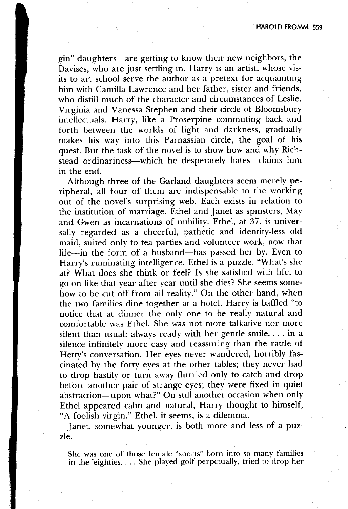gin" daughters-are getting to know their new neighbors, the Davises, who are just settling in. Harry is an artist, whose visits to art school serve the author as a pretext for acquainting him with Camilla Lawrence and her father, sister and friends, who distill much of the character and circumstances of Leslie, Virginia and Vanessa Stephen and their circle of Bloomsbury intellectuals. Harry, like a Proserpine commuting back and forth between the worlds of light and darkness, gradually makes his way into this Parnassian circle, the goal of his quest. But the task of the novel is to show how and why Richstead ordinariness—which he desperately hates—claims him in the end.

Although three of the Garland daughters seem merely peripheral, all four of them are indispensable to the working out of the novel's surprising web. Each exists in relation to the institution of marriage, Ethel and Janet as spinsters, May and Gwen as incarnations of nubility. Ethel, at 37, is universally regarded as a cheerful, pathetic and identity-less old maid, suited only to tea parties and volunteer work, now that life-in the form of a husband-has passed her by. Even to Harry's ruminating intelligence, Ethel is a puzzle. "What's she at? What does she think or feel? Is she satisfied with life, to go on like that year after year until she dies? She seems somehow to be cut off from all reality." On the other hand, when the two families dine together at a hotel, Harry is baffled "to notice that at dinner the only one to be really natural and comfortable was Ethel. She was not more talkative nor more silent than usual; always ready with her gentle smile. . . . in a silence infinitely more easy and reassuring than the rattle of Hetty's conversation. Her eyes never wandered, horribly fascinated by the forty eyes at the other tables; they never had to drop hastily or turn away flurried only to catch and drop before another pair of strange eyes; they were fixed in quiet abstraction-upon what?" On still another occasion when only Ethel appeared calm and natural, Harry thought to himself, "A foolish virgin." Ethel, it seems, is a dilemma.

Janet, somewhat younger, is both more and less of a puzzle.

She was one of those female "sports" born into so many families in the 'eighties. . . . She played golf perpetually, tried to drop her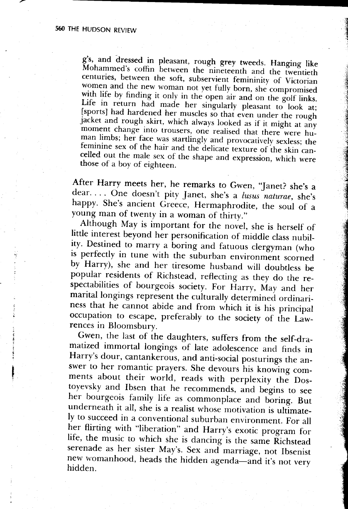;<br>; t :<br>:<br>: r

f

g's, and dressed in pleasant, rough grey tweeds. Hanging like<br>Mohammed's coffin between the nineteenth and the twentieth Mohammed's coffin between the nineteenth and the twentieth<br>centuries, between the soft, subservient femininity of Victorian<br>women and the new woman not yet fully born, she compromised<br>with life by finding it only in the op

After Harry meets her, he remarks to Gwen, "Janet? she's a dear. . . . One doesn't pity Janet, she's a lusus naturae, she's happy. She's ancient Greece, Hermaphrodite, the soul of a young man of twenty in a woman of thirty."

> da . .H 'I q .d **\$2.600**

i! **Controllector** 

'' and '' and a second and a

.<br>أما

€

Addogit May is important for the novel, she is herself of<br>little interest beyond her personification of middle class nubil-Although May is important for the novel, she is herself of ity. Destined to marry a boring and fatuous clergyman (who is perfectly in tune with the suburban environment scorned by Harry), she and her tiresome husband will doubtless be popular residents of Richstead, reflecting as they do the respectabilities of bourgeois society. For Harry, May and her marital longings represent the culturally determined ordinariness that he cannor abide and from which it is his principal occupation to escape, preferably to the society of the Lawrences in Bloomsbury.

Gwen, the last of the daughters, suffers from the self-dramatized immortal longings of late adolescence and finds in Harry's dour, cantankerous, and anti-social posturings the answer to her romantic prayers. She devours his knowing comments about their world, reads with perplexity the Dostoyevsky and Ibsen that he recommendi, and begins to see her bourgeois family life as commonplace and boring. But underneath it all, she is a realist whose motivation is ultimately to succeed in a conventional suburban environment. For all her flirting with "liberation" and Harry's exotic program for life, the music to which she is dancing is the same  $\check{\rm R}$ ichstead serenade as her sister May's. Sex and marriage, not Ibsenist new womanhood, heads the hidden agenda-and it's not very hidden.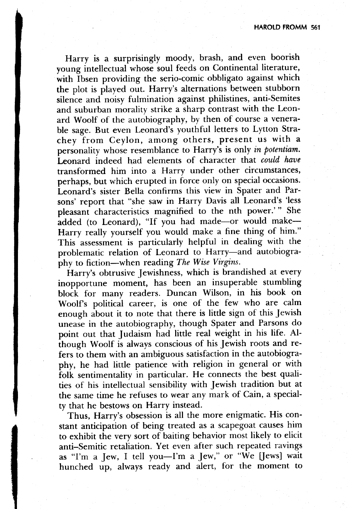Harry is a surprisingly moody, brash, and even boorish young intellectual whose soul feeds on Continental literature, with Ibsen providing the serio-comic obbligato against which the plot is played out. Harry's alternations between stubborn silence and noisy fulmination against philistines, anti-Semites and suburban morality strike a sharp contrast with the Leonard Woolf of the autobiography, by then of course a venerable sage. But even Leonard's youthful letters to Lytton Strachey from Ceylon, among others, present us with a personality whose resemblance to Harry's is only in potentiam. Leonard indeed had elements of character that could have transformed him into a Harry under other circumstances, perhaps, but which erupted in force only on special occasions. Leonard's sister Bella confirms this view in Spater and Parsons' report that "she saw in Harry Davis all Leonard's 'less pleasant characteristics magnified to the nth power.'" She added (to Leonard), "If you had made-or would make-Harry really yourself you would make a fine thing of him." This assessment is particularly helpful in dealing with the problematic relation of Leonard to Harry-and autobiography to fiction—when reading The Wise Virgins.

Harry's obtrusive Jewishness, which is brandished at every inopportune moment, has been an insuperable stumbling block for many readers. Duncan Wilson, in his book on Woolfs political career, is one of the few who are calm enough about it to note that there is little sign of this Jewish unease in the autobiography, though Spater and Parsons do point out that Judaism had little real weight in his life. Although Woolf is always conscious of his Jewish roots and refers to them with an ambiguous satisfaction in the autobiography, he had little patience with religion in general or with folk sentimentality in particular. He connects the best qualities of his intellectual sensibility with Jewish tradition but at the same time he refuses to wear any mark of Cain, a specialty that he bestows on Harry instead.

Thus, Harry's obsession is all the more enigmatic. His constant anticipation of being treated as a scapegoat causes him to exhibit the very sort of baiting behavior most likely to elicit anti-Semitic retaliation. Yet even after such repeated ravings as "I'm a Jew, I tell you-I'm a Jew," or "We [Jews] wait hunched up, always ready and alert, for the moment to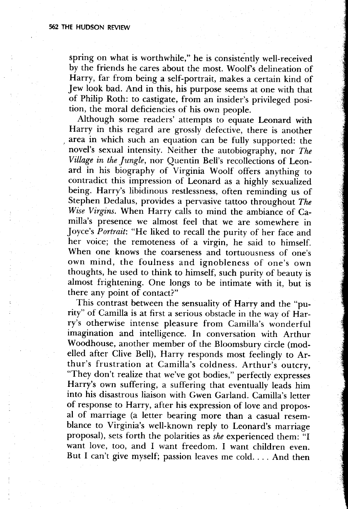spring on what is worthwhile," he is consistently well-received by the friends he cares about the most. Woolf's delineation of Harry, far from being a self-portrait, makes a certain kind of Jew look bad. And in this, his purpose seems at one with that of Philip Roth: to castigate, from an insider's privileged position, the moral deficiencies of his own people.

Although some readers' attempts to equate Leonard with Harry in this regard are grossly defective, there is another area in which such an equation can be fully supported: the novel's sexual intensity. Neither the autobiography, nor The Village in the Jungle, nor Quentin Bell's recollections of Leonard in his biography of Virginia Woolf offers anything to contradict this impression of Leonard as a highly sexualized being. Harry's libidinous restlessness, often reminding us of Stephen Dedalus, provides a pervasive tattoo throughout The Wise Virgins. When Harry calls to mind the ambiance of Camilla's presence we almost feel that we are somewhere in Joyce's Portrait: "He liked to recall the purity of her face and her voice; the remoteness of a virgin, he said to himself. When one knows the coarseness and tortuousness of one's own mind, the foulness and ignobleness of one's own thoughts, he used to think to himself, such purity of beauty is almost frightening. One longs to be intimate with it, but is there any point of contact?"

This contrast between the sensuality of Harry and the "purity" of Camilla is at first a serious obstacle in the way of Harry's otherwise intense pleasure from Camilla's wonderful imagination and intelligence. In conversation with Arthur Woodhouse, another member of the Bloomsbury circle (modelled after Clive Bell), Harry responds most feelingly to Ar-<br>thur's frustration at Camilla's coldness. Arthur's outcry. "They don't realize that we've got bodies," perfectly expresses Harry's own suffering, a suffering that eventually leads him into his disastrous liaison with Gwen Garland. Camilla's letter of response to Harry, after his expression of love and proposal of marriage (a letter bearing more than a casual resemblance to Virginia's well-known reply to Leonard's marriage proposal), sets forth the polarities as she experienced them: "I want love, too, and I want freedom. I want children even. But I can't give myself; passion leaves me cold. . . . And then